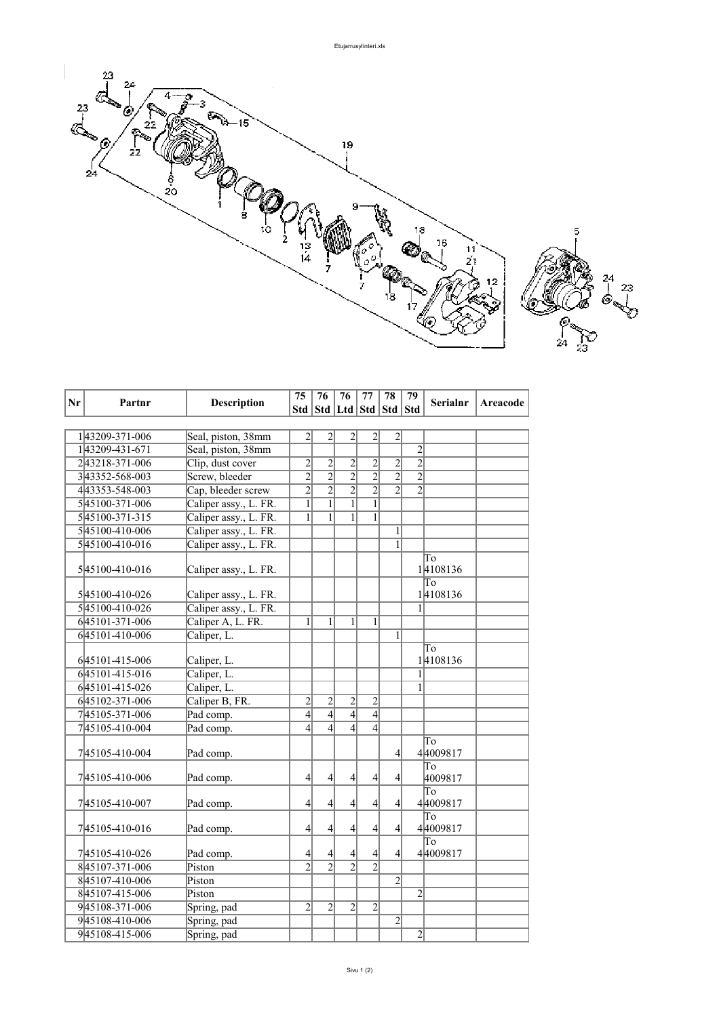

| Nr | Partnr         | <b>Description</b>    | 75                       | 76                                | 76               | 77               | 78             | 79             | <b>Serialnr</b> | Areacode |
|----|----------------|-----------------------|--------------------------|-----------------------------------|------------------|------------------|----------------|----------------|-----------------|----------|
|    |                |                       |                          | Std   Std   Ltd   Std   Std   Std |                  |                  |                |                |                 |          |
|    |                |                       |                          |                                   |                  |                  |                |                |                 |          |
|    | 143209-371-006 | Seal, piston, 38mm    | $\overline{c}$           | $\overline{2}$                    | $\overline{2}$   | $\overline{2}$   | $\overline{c}$ |                |                 |          |
|    | 143209-431-671 | Seal, piston, 38mm    |                          |                                   |                  |                  |                | $\overline{2}$ |                 |          |
|    | 243218-371-006 | Clip, dust cover      | $\overline{c}$           | $\overline{c}$                    | $\overline{c}$   | $\overline{c}$   | $\overline{c}$ | $\overline{2}$ |                 |          |
|    | 343352-568-003 | Screw, bleeder        | $\overline{2}$           | $\overline{2}$                    | $\frac{2}{2}$    | $\overline{2}$   | $\overline{2}$ | $\overline{2}$ |                 |          |
|    | 443353-548-003 | Cap, bleeder screw    | $\overline{2}$           | $\overline{2}$                    |                  | $\overline{2}$   | $\overline{2}$ | $\overline{2}$ |                 |          |
|    | 545100-371-006 | Caliper assy., L. FR. | $\mathbf{1}$             | $\mathbf{1}$                      | $\overline{1}$   | $\mathbf{1}$     |                |                |                 |          |
|    | 545100-371-315 | Caliper assy., L. FR. | 1                        | $\overline{1}$                    | $\mathbf{1}$     | $\mathbf{1}$     |                |                |                 |          |
|    | 545100-410-006 | Caliper assy., L. FR. |                          |                                   |                  |                  | $\,1\,$        |                |                 |          |
|    | 545100-410-016 | Caliper assy., L. FR. |                          |                                   |                  |                  | $\overline{1}$ |                |                 |          |
|    | 545100-410-016 | Caliper assy., L. FR. |                          |                                   |                  |                  |                |                | To<br>14108136  |          |
|    |                |                       |                          |                                   |                  |                  |                |                | To              |          |
|    | 545100-410-026 | Caliper assy., L. FR. |                          |                                   |                  |                  |                |                | 14108136        |          |
|    | 545100-410-026 | Caliper assy., L. FR. |                          |                                   |                  |                  |                | 1              |                 |          |
|    | 645101-371-006 | Caliper A, L. FR.     | $\mathbf{1}$             | $\mathbf{1}$                      | $\mathbf{1}$     | $\mathbf{1}$     |                |                |                 |          |
|    | 645101-410-006 | Caliper, L.           |                          |                                   |                  |                  | $\mathbf{1}$   |                |                 |          |
|    |                |                       |                          |                                   |                  |                  |                |                | To              |          |
|    | 645101-415-006 | Caliper, L.           |                          |                                   |                  |                  |                |                | 14108136        |          |
|    | 645101-415-016 | Caliper, L.           |                          |                                   |                  |                  |                | 1              |                 |          |
|    | 645101-415-026 | Caliper, L.           |                          |                                   |                  |                  |                | 1              |                 |          |
|    | 645102-371-006 | Caliper B, FR.        | $\overline{c}$           | $\overline{c}$                    | $\overline{2}$   | $\overline{c}$   |                |                |                 |          |
|    | 745105-371-006 | Pad comp.             | $\overline{4}$           | $\overline{4}$                    | $\overline{4}$   | $\overline{4}$   |                |                |                 |          |
|    | 745105-410-004 | Pad comp.             | $\overline{\mathcal{A}}$ | $\overline{\mathbf{4}}$           | $\left 4\right $ | $\vert$          |                |                |                 |          |
|    | 745105-410-004 | Pad comp.             |                          |                                   |                  |                  | $\overline{4}$ |                | To<br>44009817  |          |
|    | 745105-410-006 | Pad comp.             | 4                        | $\overline{4}$                    | $\vert 4 \vert$  | $\overline{4}$   | 4              |                | To<br>4009817   |          |
|    |                |                       |                          |                                   |                  |                  |                |                | To              |          |
|    | 745105-410-007 | Pad comp.             | $\overline{4}$           | $\overline{4}$                    | $\left 4\right $ | $\vert 4 \vert$  | $\overline{4}$ |                | 44009817        |          |
|    | 745105-410-016 | Pad comp.             | 4                        | 4                                 | $\left 4\right $ | $\left 4\right $ | $\overline{4}$ |                | To<br>44009817  |          |
|    |                |                       |                          |                                   |                  |                  |                |                | $\overline{a}$  |          |
|    | 745105-410-026 | Pad comp.             | 4                        | 4                                 | $\left 4\right $ | $\overline{4}$   | 4              |                | 44009817        |          |
|    | 845107-371-006 | Piston                | $\overline{2}$           | $\overline{2}$                    | $\overline{2}$   | $\overline{2}$   |                |                |                 |          |
|    | 845107-410-006 | Piston                |                          |                                   |                  |                  | $\overline{2}$ |                |                 |          |
|    | 845107-415-006 | Piston                |                          |                                   |                  |                  |                | $\overline{2}$ |                 |          |
|    | 945108-371-006 | Spring, pad           | $\overline{2}$           | $\overline{2}$                    | $\overline{2}$   | $\overline{2}$   |                |                |                 |          |
|    | 945108-410-006 | Spring, pad           |                          |                                   |                  |                  | $\overline{2}$ |                |                 |          |
|    | 945108-415-006 | Spring, pad           |                          |                                   |                  |                  |                | $\overline{2}$ |                 |          |